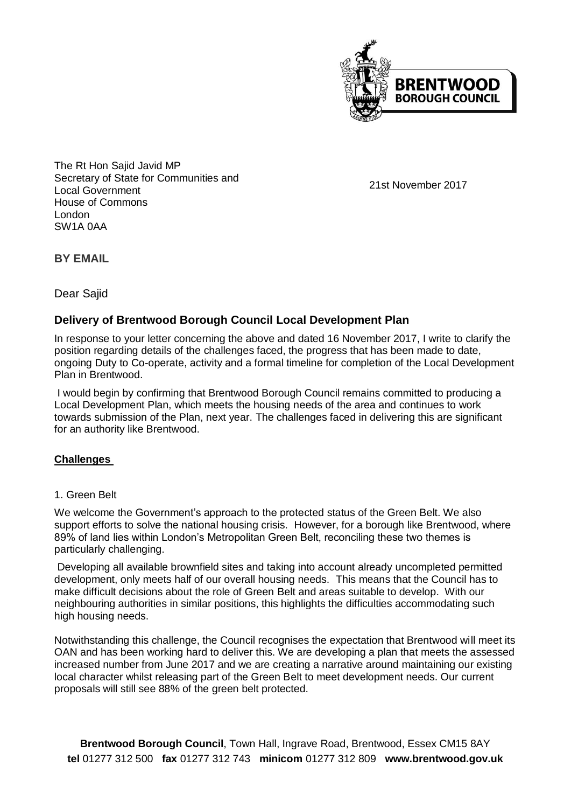

The Rt Hon Sajid Javid MP Secretary of State for Communities and Local Government House of Commons London SW1A 0AA

21st November 2017

**BY EMAIL**

Dear Sajid

# **Delivery of Brentwood Borough Council Local Development Plan**

In response to your letter concerning the above and dated 16 November 2017, I write to clarify the position regarding details of the challenges faced, the progress that has been made to date, ongoing Duty to Co-operate, activity and a formal timeline for completion of the Local Development Plan in Brentwood.

I would begin by confirming that Brentwood Borough Council remains committed to producing a Local Development Plan, which meets the housing needs of the area and continues to work towards submission of the Plan, next year. The challenges faced in delivering this are significant for an authority like Brentwood.

#### **Challenges**

#### 1. Green Belt

We welcome the Government's approach to the protected status of the Green Belt. We also support efforts to solve the national housing crisis. However, for a borough like Brentwood, where 89% of land lies within London's Metropolitan Green Belt, reconciling these two themes is particularly challenging.

Developing all available brownfield sites and taking into account already uncompleted permitted development, only meets half of our overall housing needs. This means that the Council has to make difficult decisions about the role of Green Belt and areas suitable to develop. With our neighbouring authorities in similar positions, this highlights the difficulties accommodating such high housing needs.

Notwithstanding this challenge, the Council recognises the expectation that Brentwood will meet its OAN and has been working hard to deliver this. We are developing a plan that meets the assessed increased number from June 2017 and we are creating a narrative around maintaining our existing local character whilst releasing part of the Green Belt to meet development needs. Our current proposals will still see 88% of the green belt protected.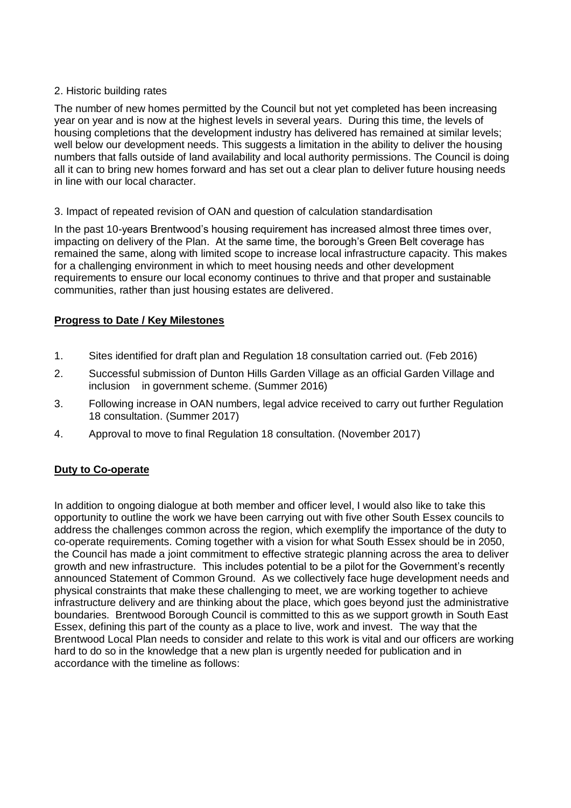### 2. Historic building rates

The number of new homes permitted by the Council but not yet completed has been increasing year on year and is now at the highest levels in several years. During this time, the levels of housing completions that the development industry has delivered has remained at similar levels; well below our development needs. This suggests a limitation in the ability to deliver the housing numbers that falls outside of land availability and local authority permissions. The Council is doing all it can to bring new homes forward and has set out a clear plan to deliver future housing needs in line with our local character.

#### 3. Impact of repeated revision of OAN and question of calculation standardisation

In the past 10-years Brentwood's housing requirement has increased almost three times over, impacting on delivery of the Plan. At the same time, the borough's Green Belt coverage has remained the same, along with limited scope to increase local infrastructure capacity. This makes for a challenging environment in which to meet housing needs and other development requirements to ensure our local economy continues to thrive and that proper and sustainable communities, rather than just housing estates are delivered.

## **Progress to Date / Key Milestones**

- 1. Sites identified for draft plan and Regulation 18 consultation carried out. (Feb 2016)
- 2. Successful submission of Dunton Hills Garden Village as an official Garden Village and inclusion in government scheme. (Summer 2016)
- 3. Following increase in OAN numbers, legal advice received to carry out further Regulation 18 consultation. (Summer 2017)
- 4. Approval to move to final Regulation 18 consultation. (November 2017)

## **Duty to Co-operate**

In addition to ongoing dialogue at both member and officer level, I would also like to take this opportunity to outline the work we have been carrying out with five other South Essex councils to address the challenges common across the region, which exemplify the importance of the duty to co-operate requirements. Coming together with a vision for what South Essex should be in 2050, the Council has made a joint commitment to effective strategic planning across the area to deliver growth and new infrastructure. This includes potential to be a pilot for the Government's recently announced Statement of Common Ground. As we collectively face huge development needs and physical constraints that make these challenging to meet, we are working together to achieve infrastructure delivery and are thinking about the place, which goes beyond just the administrative boundaries. Brentwood Borough Council is committed to this as we support growth in South East Essex, defining this part of the county as a place to live, work and invest. The way that the Brentwood Local Plan needs to consider and relate to this work is vital and our officers are working hard to do so in the knowledge that a new plan is urgently needed for publication and in accordance with the timeline as follows: